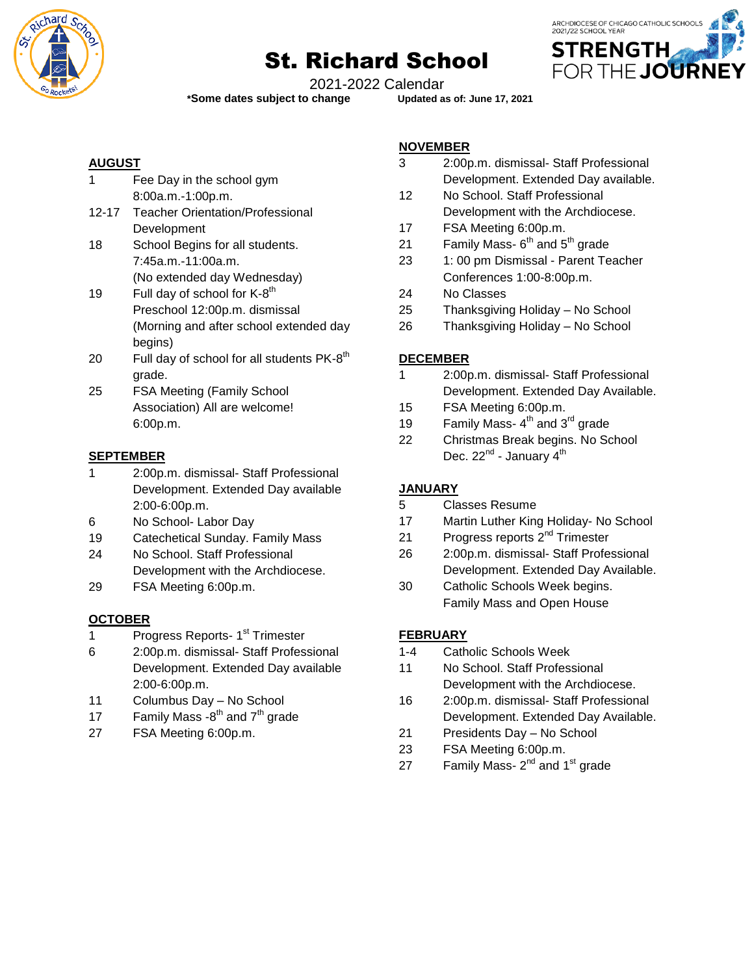

# St. Richard School



2021-2022 Calendar

**\*Some dates subject to change Updated as of: June 17, 2021**

### **AUGUST**

| 1         | Fee Day in the school gym                                                                                       |
|-----------|-----------------------------------------------------------------------------------------------------------------|
|           | 8:00a.m.-1:00p.m.                                                                                               |
| $12 - 17$ | <b>Teacher Orientation/Professional</b>                                                                         |
|           | Development                                                                                                     |
| 18        | School Begins for all students.                                                                                 |
|           | 7:45a.m.-11:00a.m.                                                                                              |
|           | (No extended day Wednesday)                                                                                     |
|           | the contract of the contract of the contract of the contract of the contract of the contract of the contract of |

- 19 Full day of school for  $K$ -8<sup>th</sup> Preschool 12:00p.m. dismissal (Morning and after school extended day begins)
- 20  $\,$  Full day of school for all students PK-8<sup>th</sup> grade.
- 25 FSA Meeting (Family School Association) All are welcome! 6:00p.m.

## **SEPTEMBER**

- 1 2:00p.m. dismissal- Staff Professional Development. Extended Day available 2:00-6:00p.m.
- 6 No School- Labor Day
- 19 Catechetical Sunday. Family Mass
- 24 No School. Staff Professional Development with the Archdiocese.
- 29 FSA Meeting 6:00p.m.

# **OCTOBER**

- 1 Progress Reports- 1<sup>st</sup> Trimester
- 6 2:00p.m. dismissal- Staff Professional Development. Extended Day available 2:00-6:00p.m.
- 11 Columbus Day No School
- 17 Family Mass  $-8^{th}$  and  $7^{th}$  grade
- 27 FSA Meeting 6:00p.m.

#### **NOVEMBER**

- 3 2:00p.m. dismissal- Staff Professional Development. Extended Day available.
- 12 No School. Staff Professional Development with the Archdiocese.
- 17 FSA Meeting 6:00p.m.
- 21 Family Mass-  $6<sup>th</sup>$  and  $5<sup>th</sup>$  grade
- 23 1: 00 pm Dismissal Parent Teacher Conferences 1:00-8:00p.m.
- 24 No Classes
- 25 Thanksgiving Holiday No School
- 26 Thanksgiving Holiday No School

## **DECEMBER**

- 1 2:00p.m. dismissal- Staff Professional Development. Extended Day Available.
- 15 FSA Meeting 6:00p.m.
- 19 Family Mass- $4<sup>th</sup>$  and  $3<sup>rd</sup>$  grade
- 22 Christmas Break begins. No School Dec. 22<sup>nd</sup> - January 4<sup>th</sup>

### **JANUARY**

- 5 Classes Resume
- 17 Martin Luther King Holiday- No School
- 21 Progress reports 2<sup>nd</sup> Trimester
- 26 2:00p.m. dismissal- Staff Professional Development. Extended Day Available.
- 30 Catholic Schools Week begins. Family Mass and Open House

### **FEBRUARY**

- 1-4 Catholic Schools Week
- 11 No School. Staff Professional Development with the Archdiocese.
- 16 2:00p.m. dismissal- Staff Professional Development. Extended Day Available.
- 21 Presidents Day No School
- 23 FSA Meeting 6:00p.m.
- 27 Family Mass-  $2^{nd}$  and 1<sup>st</sup> grade